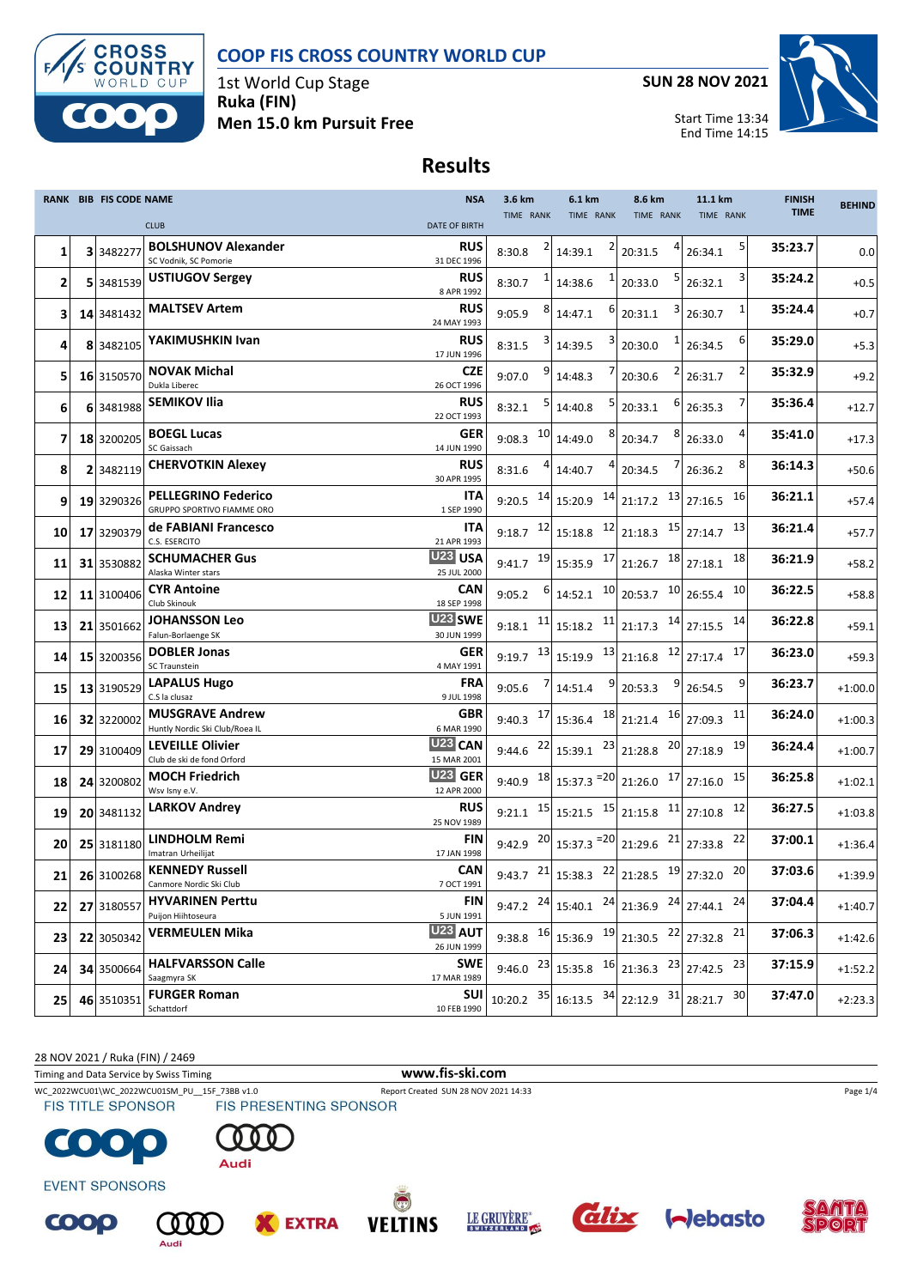



1st World Cup Stage **Ruka (FIN) Men 15.0 km Pursuit Free** **SUN 28 NOV 2021**

Start Time 13:34

End Time 14:15



# **Results**

|    | <b>RANK BIB FIS CODE NAME</b> |                                                           | <b>NSA</b>                                        | 3.6 km                 |    | 6.1 km                                                                                                                                      | 8.6 km                                    |   | 11.1 km      |    | <b>FINISH</b> | <b>BEHIND</b> |
|----|-------------------------------|-----------------------------------------------------------|---------------------------------------------------|------------------------|----|---------------------------------------------------------------------------------------------------------------------------------------------|-------------------------------------------|---|--------------|----|---------------|---------------|
|    |                               | <b>CLUB</b>                                               | <b>DATE OF BIRTH</b>                              | TIME RANK              |    | TIME RANK                                                                                                                                   | <b>TIME RANK</b>                          |   | TIME RANK    |    | <b>TIME</b>   |               |
| 1  | 3 3 48 2277                   | <b>BOLSHUNOV Alexander</b><br>SC Vodnik, SC Pomorie       | <b>RUS</b><br>31 DEC 1996                         | 8:30.8                 |    | 14:39.1                                                                                                                                     | 20:31.5                                   |   | 26:34.1      |    | 35:23.7       | 0.0           |
| 2  | 5 3481539                     | <b>USTIUGOV Sergey</b>                                    | <b>RUS</b><br>8 APR 1992                          | 8:30.7                 |    | 14:38.6                                                                                                                                     | 20:33.0                                   |   | 26:32.1      |    | 35:24.2       | $+0.5$        |
| 3  | 14 3481432                    | <b>MALTSEV Artem</b>                                      | <b>RUS</b><br>24 MAY 1993                         | 9:05.9                 |    | 14:47.1                                                                                                                                     | 20:31.1                                   | З | 26:30.7      |    | 35:24.4       | $+0.7$        |
| 4  | 8 3482105                     | YAKIMUSHKIN Ivan                                          | <b>RUS</b><br>17 JUN 1996                         | 8:31.5                 | 3  | 14:39.5                                                                                                                                     | 20:30.0                                   |   | 26:34.5      | 6  | 35:29.0       | $+5.3$        |
| 5  | 16 3150570                    | <b>NOVAK Michal</b><br>Dukla Liberec                      | <b>CZE</b><br>26 OCT 1996                         | 9:07.0                 |    | 14:48.3                                                                                                                                     | 20:30.6                                   |   | 26:31.7      |    | 35:32.9       | $+9.2$        |
| 6  | 6 3481988                     | SEMIKOV Ilia                                              | <b>RUS</b><br>22 OCT 1993                         | 8:32.1                 |    | 14:40.8                                                                                                                                     | 20:33.1                                   |   | 26:35.3      |    | 35:36.4       | $+12.7$       |
| 7  | 18 3200205                    | <b>BOEGL Lucas</b><br>SC Gaissach                         | <b>GER</b><br>14 JUN 1990                         | 9:08.3                 | 10 | 14:49.0                                                                                                                                     | 20:34.7                                   | 8 | 26:33.0      | 4  | 35:41.0       | $+17.3$       |
| 8  | 2 3482119                     | <b>CHERVOTKIN Alexey</b>                                  | <b>RUS</b><br>30 APR 1995                         | 8:31.6                 |    | 14:40.7                                                                                                                                     | 20:34.5                                   |   | 26:36.2      |    | 36:14.3       | $+50.6$       |
| 9  | 19 3290326                    | <b>PELLEGRINO Federico</b><br>GRUPPO SPORTIVO FIAMME ORO  | ITA                                               |                        |    | 9:20.5 $14$ 15:20.9 $14$ 21:17.2 13                                                                                                         |                                           |   | 27:16.5      | 16 | 36:21.1       | $+57.4$       |
| 10 | 17 3290379                    | de FABIANI Francesco<br>C.S. ESERCITO                     | 1 SEP 1990<br>ITA                                 | $9:18.7$ <sup>12</sup> |    | 15:18.8 12 21:18.3 15                                                                                                                       |                                           |   | 27:14.7      | 13 | 36:21.4       | $+57.7$       |
| 11 | 31 3530882                    | <b>SCHUMACHER Gus</b><br>Alaska Winter stars              | 21 APR 1993<br>U <sub>23</sub> USA<br>25 JUL 2000 | 9:41.7 19              |    | $15:35.9$ $17$ 21:26.7 $18$ 27:18.1                                                                                                         |                                           |   |              | 18 | 36:21.9       | $+58.2$       |
| 12 | 11 3100406                    | <b>CYR Antoine</b>                                        | CAN                                               | 9:05.2                 |    | 14:52.1                                                                                                                                     | $10$ 20:53.7 $10$ 26:55.4                 |   |              | 10 | 36:22.5       | $+58.8$       |
| 13 | 21 3501662                    | Club Skinouk<br><b>JOHANSSON Leo</b>                      | 18 SEP 1998<br>U <sub>23</sub> SWE                | 9:18.1                 | 11 | $15:18.2$ $11$ $21:17.3$ $14$ $27:15.5$                                                                                                     |                                           |   |              | 14 | 36:22.8       | $+59.1$       |
| 14 | 15 3200356                    | Falun-Borlaenge SK<br><b>DOBLER Jonas</b>                 | 30 JUN 1999<br><b>GER</b>                         |                        |    | 9:19.7 $\begin{bmatrix} 13 \\ 15:19.9 \end{bmatrix}$ $\begin{bmatrix} 13 \\ 21:16.8 \end{bmatrix}$ $\begin{bmatrix} 12 \\ 12 \end{bmatrix}$ |                                           |   | 27:17.4      | 17 | 36:23.0       | $+59.3$       |
| 15 | 13 3190529                    | SC Traunstein<br><b>LAPALUS Hugo</b>                      | 4 MAY 1991<br><b>FRA</b>                          | 9:05.6                 |    | 9<br>14:51.4                                                                                                                                | 20:53.3                                   | 9 | 26:54.5      | 9  | 36:23.7       | $+1:00.0$     |
| 16 | 32 3220002                    | C.S la clusaz<br><b>MUSGRAVE Andrew</b>                   | 9 JUL 1998<br>GBR                                 | $9:40.3$ 17            |    | 15:36.4                                                                                                                                     | $\frac{18}{21:21.4}$ $\frac{16}{27:09.3}$ |   |              | 11 | 36:24.0       | $+1:00.3$     |
| 17 | 29 3100409                    | Huntly Nordic Ski Club/Roea IL<br><b>LEVEILLE Olivier</b> | 6 MAR 1990<br>U <sub>23</sub> CAN                 | 9:44.6                 | 22 | $15:39.1$ $^{23}$ 21:28.8                                                                                                                   |                                           |   | $20$ 27:18.9 | 19 | 36:24.4       | $+1:00.7$     |
| 18 | 24 3200802                    | Club de ski de fond Orford<br><b>MOCH Friedrich</b>       | 15 MAR 2001<br><b>U23 GER</b>                     | 9:40.9                 |    | $18$ 15:37.3 $=$ 20 21:26.0 $17$ 27:16.0                                                                                                    |                                           |   |              | 15 | 36:25.8       | $+1:02.1$     |
| 19 | 20 3481132                    | Wsv Isny e.V.<br><b>LARKOV Andrey</b>                     | 12 APR 2000<br><b>RUS</b>                         |                        |    | 9:21.1 $15 \mid 15:21.5$ $15 \mid 21:15.8$ $11 \mid$                                                                                        |                                           |   | 27:10.8      | 12 | 36:27.5       | $+1:03.8$     |
| 20 | 25 3181180                    | LINDHOLM Remi                                             | 25 NOV 1989<br>FIN                                |                        |    | 9:42.9 $^{20}$ 15:37.3 $^{=20}$ 21:29.6 $^{21}$                                                                                             |                                           |   | 27:33.8      | 22 | 37:00.1       | $+1:36.4$     |
| 21 | 26 3100268                    | Imatran Urheilijat<br><b>KENNEDY Russell</b>              | 17 JAN 1998<br><b>CAN</b>                         |                        |    | 9:43.7 $^{21}$ 15:38.3 $^{22}$ 21:28.5 $^{19}$ 27:32.0                                                                                      |                                           |   |              | 20 | 37:03.6       | $+1:39.9$     |
| 22 | 27 3180557                    | Canmore Nordic Ski Club<br><b>HYVARINEN Perttu</b>        | 7 OCT 1991<br><b>FIN</b>                          |                        |    | 9:47.2 $^{24}$ 15:40.1                                                                                                                      | $24$ 21:36.9 $24$ 27:44.1                 |   |              | 24 | 37:04.4       | $+1:40.7$     |
| 23 | 22 3050342                    | Puijon Hiihtoseura<br><b>VERMEULEN Mika</b>               | 5 JUN 1991<br>U <sub>23</sub> AUT                 |                        |    | 9:38.8 $^{16}$ 15:36.9 $^{19}$ 21:30.5 $^{22}$ 27:32.8                                                                                      |                                           |   |              | 21 | 37:06.3       | $+1:42.6$     |
| 24 | 34 3500664                    | <b>HALFVARSSON Calle</b>                                  | 26 JUN 1999<br><b>SWE</b>                         |                        |    | 9:46.0 $^{23}$ 15:35.8 $^{16}$ 21:36.3 $^{23}$ 27:42.5 $^{23}$                                                                              |                                           |   |              |    | 37:15.9       | $+1:52.2$     |
|    |                               | Saagmyra SK<br><b>FURGER Roman</b>                        | 17 MAR 1989<br><b>SUI</b>                         |                        |    | $35 16:13.5$ $34 22:12.9$ $31 28:21.7$ $30 $                                                                                                |                                           |   |              |    | 37:47.0       |               |
| 25 | 46 3510351                    | Schattdorf                                                | 10 FEB 1990                                       | 10:20.2                |    |                                                                                                                                             |                                           |   |              |    |               | $+2:23.3$     |

28 NOV 2021 / Ruka (FIN) / 2469

Timing and Data Service by Swiss Timing **www.fis-ski.com**





WC\_2022WCU01\WC\_2022WCU01SM\_PU\_\_15F\_73BB v1.0 Report Created SUN 28 NOV 2021 14:33 Page 1/4<br>
FIS TITLE SPONSOR FIS PRESENTING SPONSOR

 $QQQ$ 

Audi



**EVENT SPONSORS** 

COOP









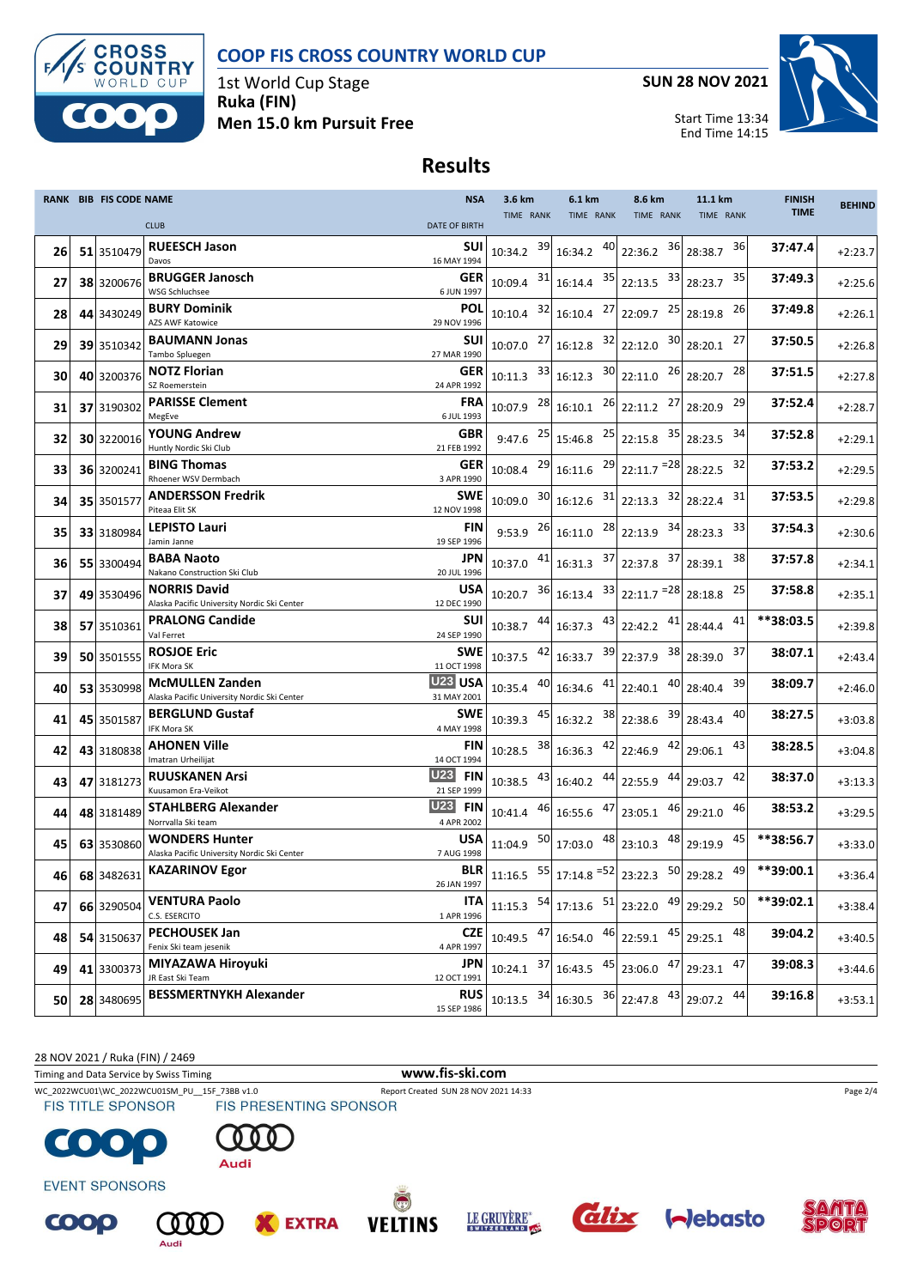



1st World Cup Stage **Ruka (FIN) Men 15.0 km Pursuit Free** **SUN 28 NOV 2021**



Start Time 13:34 End Time 14:15

## **Results**

|    | <b>RANK BIB FIS CODE NAME</b> |                                                                       | <b>NSA</b>                         | 3.6 km                 |    | 6.1 km                    | 8.6 km                                | 11.1 km       | <b>FINISH</b> | <b>BEHIND</b> |
|----|-------------------------------|-----------------------------------------------------------------------|------------------------------------|------------------------|----|---------------------------|---------------------------------------|---------------|---------------|---------------|
|    |                               | <b>CLUB</b>                                                           | <b>DATE OF BIRTH</b>               | TIME RANK              |    | TIME RANK                 | TIME RANK                             | TIME RANK     | <b>TIME</b>   |               |
|    |                               | <b>RUEESCH Jason</b>                                                  | SUI                                |                        | 39 | 40                        | 36                                    | 36            | 37:47.4       |               |
| 26 | 51 3510479                    | Davos                                                                 | 16 MAY 1994                        | 10:34.2                |    | 16:34.2                   | 22:36.2                               | 28:38.7       |               | $+2:23.7$     |
| 27 | 38 3200676                    | <b>BRUGGER Janosch</b>                                                | <b>GER</b>                         | 10:09.4                | 31 |                           | 16:14.4 35 22:13.5 33                 | 35<br>28:23.7 | 37:49.3       | $+2:25.6$     |
|    |                               | <b>WSG Schluchsee</b>                                                 | 6 JUN 1997                         |                        |    |                           |                                       |               |               |               |
| 28 | 44 3430249                    | <b>BURY Dominik</b><br>AZS AWF Katowice                               | <b>POL</b><br>29 NOV 1996          | 10:10.4                | 32 | 16:10.4                   | $27$ 22:09.7<br>25                    | 26<br>28:19.8 | 37:49.8       | $+2:26.1$     |
|    |                               | <b>BAUMANN Jonas</b>                                                  | <b>SUI</b>                         |                        |    |                           |                                       | 27            | 37:50.5       |               |
| 29 | 39 3510342                    | Tambo Spluegen                                                        | 27 MAR 1990                        | 10:07.0 27             |    |                           | $16:12.8$ $32 \mid 22:12.0$ $30 \mid$ | 28:20.1       |               | $+2:26.8$     |
| 30 | 40 3200376                    | <b>NOTZ Florian</b>                                                   | <b>GER</b>                         | 10:11.3                | 33 | $16:12.3$ $30$ 22:11.0    | 26                                    | 28<br>28:20.7 | 37:51.5       | $+2:27.8$     |
|    |                               | SZ Roemerstein                                                        | 24 APR 1992                        |                        |    |                           |                                       |               |               |               |
| 31 | 37 3190302                    | <b>PARISSE Clement</b><br>MegEve                                      | FRA<br>6 JUL 1993                  | 10:07.9                | 28 | 16:10.1                   | 27<br>$26$ 22:11.2                    | 29<br>28:20.9 | 37:52.4       | $+2:28.7$     |
|    |                               | <b>YOUNG Andrew</b>                                                   | GBR                                |                        |    |                           |                                       | 34            | 37:52.8       |               |
| 32 | 30 3220016                    | Huntly Nordic Ski Club                                                | 21 FEB 1992                        | $9:47.6$ <sup>25</sup> |    |                           | 15:46.8 25 22:15.8 35                 | 28:23.5       |               | $+2:29.1$     |
| 33 | 36 3200241                    | <b>BING Thomas</b>                                                    | <b>GER</b>                         | 10:08.4                | 29 |                           | $16:11.6$ $^{29}$ 22:11.7 $^{=28}$    | 32<br>28:22.5 | 37:53.2       | $+2:29.5$     |
|    |                               | Rhoener WSV Dermbach                                                  | 3 APR 1990                         |                        |    |                           |                                       |               |               |               |
| 34 | 35 3501577                    | <b>ANDERSSON Fredrik</b>                                              | <b>SWE</b>                         | 10:09.0                | 30 | $16:12.6$ $31$ 22:13.3    | 32                                    | 31<br>28:22.4 | 37:53.5       | $+2:29.8$     |
|    |                               | Piteaa Elit SK<br><b>LEPISTO Lauri</b>                                | 12 NOV 1998<br>FIN                 |                        |    |                           |                                       | 33            | 37:54.3       |               |
| 35 | 33 3180984                    | Jamin Janne                                                           | 19 SEP 1996                        | 9:53.9                 | 26 | $16:11.0$ $^{28}$ 22:13.9 | 34                                    | 28:23.3       |               | $+2:30.6$     |
| 36 | 55 3300494                    | <b>BABA Naoto</b>                                                     | JPN                                | 10:37.0                | 41 | 16:31.3                   | 37 22:37.8<br>37                      | 38<br>28:39.1 | 37:57.8       | $+2:34.1$     |
|    |                               | Nakano Construction Ski Club                                          | 20 JUL 1996                        |                        |    |                           |                                       |               |               |               |
| 37 | 49 3530496                    | <b>NORRIS David</b>                                                   | USA                                | 10:20.7                | 36 |                           | $16:13.4$ $33 \vert 22:11.7 = 28$     | 25<br>28:18.8 | 37:58.8       | $+2:35.1$     |
|    |                               | Alaska Pacific University Nordic Ski Center<br><b>PRALONG Candide</b> | 12 DEC 1990<br>SUI                 |                        |    |                           |                                       | 41            | **38:03.5     |               |
| 38 | 57 3510361                    | Val Ferret                                                            | 24 SEP 1990                        | 10:38.7                | 44 | 16:37.3                   | $43$ 22:42.2<br>41                    | 28:44.4       |               | $+2:39.8$     |
| 39 | 50 3501555                    | <b>ROSJOE Eric</b>                                                    | <b>SWE</b>                         | 10:37.5                | 42 | $16:33.7$ $39$ 22:37.9    | 38                                    | 37<br>28:39.0 | 38:07.1       | $+2:43.4$     |
|    |                               | IFK Mora SK                                                           | 11 OCT 1998                        |                        |    |                           |                                       |               |               |               |
| 40 | 53 3530998                    | <b>McMULLEN Zanden</b><br>Alaska Pacific University Nordic Ski Center | U <sub>23</sub> USA<br>31 MAY 2001 | 10:35.4                | 40 | 16:34.6 41                | 40<br>22:40.1                         | 39<br>28:40.4 | 38:09.7       | $+2:46.0$     |
|    |                               | <b>BERGLUND Gustaf</b>                                                | <b>SWE</b>                         |                        | 45 | 38                        | 39                                    | 40            | 38:27.5       |               |
| 41 | 45 3501587                    | IFK Mora SK                                                           | 4 MAY 1998                         | 10:39.3                |    | 16:32.2                   | 22:38.6                               | 28:43.4       |               | $+3:03.8$     |
| 42 | 43 3180838                    | <b>AHONEN Ville</b>                                                   | FIN                                | 10:28.5                | 38 | $16:36.3$ $42$ 22:46.9    | 42                                    | 43<br>29:06.1 | 38:28.5       | $+3:04.8$     |
|    |                               | Imatran Urheilijat                                                    | 14 OCT 1994                        |                        |    |                           |                                       |               |               |               |
| 43 | 47 3181273                    | <b>RUUSKANEN Arsi</b><br>Kuusamon Era-Veikot                          | <b>U23</b><br><b>FIN</b>           | 10:38.5                | 43 | 16:40.2 44 22:55.9        | 44                                    | 42<br>29:03.7 | 38:37.0       | $+3:13.3$     |
|    |                               | <b>STAHLBERG Alexander</b>                                            | 21 SEP 1999<br>U23<br><b>FIN</b>   |                        |    |                           | 46                                    | 46            | 38:53.2       |               |
| 44 | 48 3181489                    | Norrvalla Ski team                                                    | 4 APR 2002                         | 10:41.4 46             |    | 16:55.6 47                | 23:05.1                               | 29:21.0       |               | $+3:29.5$     |
| 45 | 63 3530860                    | <b>WONDERS Hunter</b>                                                 | USA                                | 11:04.9                | 50 | 17:03.0 48                | 48<br>23:10.3                         | 45<br>29:19.9 | **38:56.7     | $+3:33.0$     |
|    |                               | Alaska Pacific University Nordic Ski Center                           | 7 AUG 1998                         |                        |    |                           |                                       |               |               |               |
| 46 | 68 3482631                    | <b>KAZARINOV Egor</b>                                                 | BLR<br>26 JAN 1997                 |                        |    |                           |                                       |               | **39:00.1     | $+3:36.4$     |
|    |                               | <b>VENTURA Paolo</b>                                                  | ITA                                |                        |    |                           |                                       |               | **39:02.1     |               |
| 47 | 66 3290504                    | C.S. ESERCITO                                                         | 1 APR 1996                         | 11:15.3                | 54 | $17:13.6$ $51$ 23:22.0    | 49                                    | 50<br>29:29.2 |               | $+3:38.4$     |
| 48 | 54 3150637                    | <b>PECHOUSEK Jan</b>                                                  | <b>CZE</b>                         | 10:49.5                | 47 | 46<br>16:54.0             | 45<br>22:59.1                         | 48<br>29:25.1 | 39:04.2       | $+3:40.5$     |
|    |                               | Fenix Ski team jesenik                                                | 4 APR 1997                         |                        |    |                           |                                       |               |               |               |
| 49 | 41 3300373                    | MIYAZAWA Hiroyuki                                                     | JPN                                | 10:24.1                | 37 | 45<br>16:43.5             | 23:06.0 47                            | 47<br>29:23.1 | 39:08.3       | $+3:44.6$     |
|    |                               | JR East Ski Team<br><b>BESSMERTNYKH Alexander</b>                     | 12 OCT 1991<br><b>RUS</b>          |                        |    |                           |                                       |               | 39:16.8       |               |
| 50 | 28 3480695                    |                                                                       | 15 SEP 1986                        | 10:13.5                | 34 | 16:30.5 36                | 43<br>22:47.8                         | 44<br>29:07.2 |               | $+3:53.1$     |

28 NOV 2021 / Ruka (FIN) / 2469

Timing and Data Service by Swiss Timing **www.fis-ski.com**



WC\_2022WCU01\WC\_2022WCU01SM\_PU\_\_15F\_73BB v1.0 Report Created SUN 28 NOV 2021 14:33 Page 2/4<br>
FIS TITLE SPONSOR FIS PRESENTING SPONSOR







**EXTRA** 



**EVENT SPONSORS** 







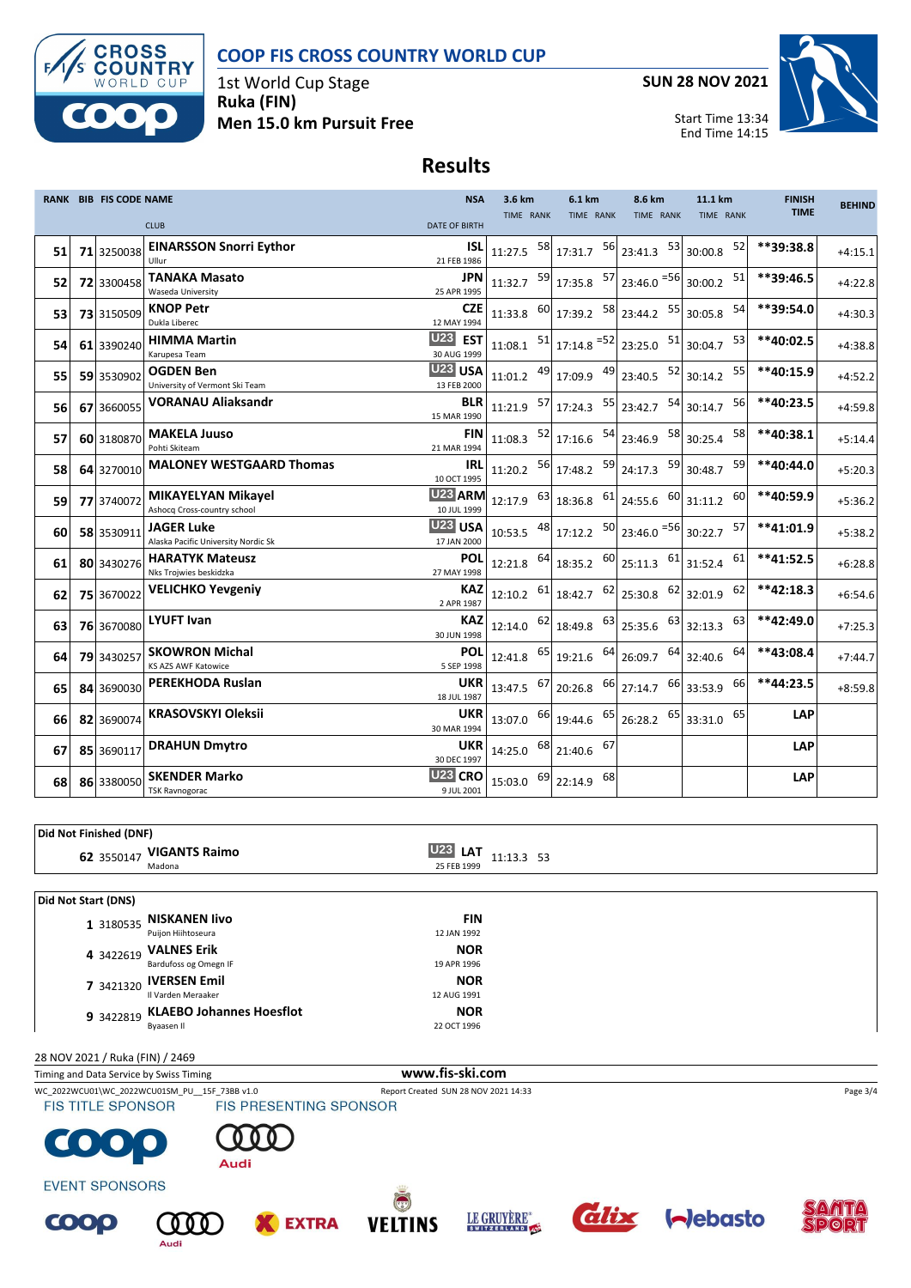



1st World Cup Stage **Ruka (FIN) Men 15.0 km Pursuit Free** **SUN 28 NOV 2021**



Start Time 13:34 End Time 14:15

# **Results**

|    | <b>RANK BIB FIS CODE NAME</b> |                                                          | <b>NSA</b>                         | 3.6 km       |    | 6.1 km                                                                                                  | 8.6 km                     | 11.1 km   |    | <b>FINISH</b> | <b>BEHIND</b> |
|----|-------------------------------|----------------------------------------------------------|------------------------------------|--------------|----|---------------------------------------------------------------------------------------------------------|----------------------------|-----------|----|---------------|---------------|
|    |                               | <b>CLUB</b>                                              | <b>DATE OF BIRTH</b>               | TIME RANK    |    | TIME RANK                                                                                               | TIME RANK                  | TIME RANK |    | <b>TIME</b>   |               |
| 51 | 71 3250038                    | <b>EINARSSON Snorri Eythor</b><br>Ullur                  | <b>ISL</b><br>21 FEB 1986          | 11:27.5 58   |    | 17:31.7 56 23:41.3 53                                                                                   |                            | 30:00.8   | 52 | **39:38.8     | $+4:15.1$     |
| 52 | 72 3300458                    | TANAKA Masato<br>Waseda University                       | <b>JPN</b><br>25 APR 1995          | $11:32.7$ 59 |    | $17:35.8$ $57$ $23:46.0$ $=56$ 30:00.2                                                                  |                            |           | 51 | **39:46.5     | $+4:22.8$     |
| 53 | 73 3150509                    | <b>KNOP Petr</b><br>Dukla Liberec                        | <b>CZE</b><br>12 MAY 1994          | 11:33.8      |    | $60$ 17:39.2                                                                                            | 58 23:44.2 55              | 30:05.8   | 54 | **39:54.0     | $+4:30.3$     |
| 54 | 61 3390240                    | <b>HIMMA Martin</b><br>Karupesa Team                     | U23 EST<br>30 AUG 1999             |              |    | $11:08.1$ $51$ $17:14.8$ $52$ $23:25.0$ $51$ 30:04.7                                                    |                            |           | 53 | **40:02.5     | $+4:38.8$     |
| 55 | 59 3530902                    | <b>OGDEN Ben</b><br>University of Vermont Ski Team       | U <sub>23</sub> USA<br>13 FEB 2000 |              |    | 11:01.2 $^{49}$ 17:09.9 $^{49}$ 23:40.5 $^{52}$ 30:14.2                                                 |                            |           | 55 | **40:15.9     | $+4:52.2$     |
| 56 | 67 3660055                    | <b>VORANAU Aliaksandr</b>                                | <b>BLR</b><br>15 MAR 1990          |              |    | $11:21.9$ $57$ 17:24.3 $55$ 23:42.7 $54$ 30:14.7                                                        |                            |           | 56 | **40:23.5     | $+4:59.8$     |
| 57 | 60 3180870                    | <b>MAKELA Juuso</b><br>Pohti Skiteam                     | <b>FIN</b><br>21 MAR 1994          |              |    | $11:08.3$ $52 \mid 17:16.6$ $54 \mid 23:46.9$ $58 \mid 30:25.4$                                         |                            |           | 58 | **40:38.1     | $+5:14.4$     |
| 58 | 64 3270010                    | <b>MALONEY WESTGAARD Thomas</b>                          | IRL<br>10 OCT 1995                 |              |    | 11:20.2 $\begin{array}{ c c c c c c c c } \hline 56 & 17:48.2 & 59 & 24:17.3 & 59 \ \hline \end{array}$ |                            | 30:48.7   | 59 | $**40:44.0$   | $+5:20.3$     |
| 59 | 77 3740072                    | <b>MIKAYELYAN Mikayel</b><br>Ashocq Cross-country school | U <sub>23</sub> ARM<br>10 JUL 1999 | 12:17.9      | 63 | 18:36.8                                                                                                 | $61$ <sub>24:55.6</sub> 60 | 31:11.2   | 60 | **40:59.9     | $+5:36.2$     |
| 60 | 58 3530911                    | JAGER Luke<br>Alaska Pacific University Nordic Sk        | <b>U23 USA</b><br>17 JAN 2000      | 10:53.5 48   |    | 17:12.2                                                                                                 | $50$ 23:46.0 $56$ 30:22.7  |           | 57 | **41:01.9     | $+5:38.2$     |
| 61 | 80 3430276                    | <b>HARATYK Mateusz</b><br>Nks Trojwies beskidzka         | <b>POL</b><br>27 MAY 1998          | 12:21.8 64   |    | $18:35.2$ $60$ $25:11.3$ $61$ $31:52.4$                                                                 |                            |           | 61 | **41:52.5     | $+6:28.8$     |
| 62 | 75 3670022                    | <b>VELICHKO Yevgeniy</b>                                 | <b>KAZ</b><br>2 APR 1987           | $12:10.2$ 61 |    | $18:42.7$ $62$ 25:30.8 $62$                                                                             |                            | 32:01.9   | 62 | **42:18.3     | $+6:54.6$     |
| 63 | 76 3670080                    | <b>LYUFT Ivan</b>                                        | <b>KAZ</b><br>30 JUN 1998          | 12:14.0      | 62 | $18:49.8$ $63$ $25:35.6$ $63$ 32:13.3                                                                   |                            |           | 63 | **42:49.0     | $+7:25.3$     |
| 64 | 79 3430257                    | <b>SKOWRON Michal</b><br>KS AZS AWF Katowice             | POL<br>5 SEP 1998                  | 12:41.8 65   |    | 19:21.6 $\begin{array}{ c} 64 \end{array}$ 26:09.7 $\begin{array}{ c} 64 \end{array}$                   |                            | 32:40.6   | 64 | **43:08.4     | $+7:44.7$     |
| 65 | 84 3690030                    | PEREKHODA Ruslan                                         | <b>UKR</b><br>18 JUL 1987          | 13:47.5 67   |    | $20:26.8$ $66$ 27:14.7 $66$ 33:53.9                                                                     |                            |           | 66 | **44:23.5     | $+8:59.8$     |
| 66 | 82 3690074                    | <b>KRASOVSKYI Oleksii</b>                                | <b>UKR</b><br>30 MAR 1994          | 13:07.0      |    | 66 19:44.6                                                                                              | $65$ 26:28.2 $65$          | 33:31.0   | 65 | <b>LAP</b>    |               |
| 67 | 85 3690117                    | <b>DRAHUN Dmytro</b>                                     | <b>UKR</b><br>30 DEC 1997          | 14:25.0 68   |    | 67<br>21:40.6                                                                                           |                            |           |    | LAP           |               |
| 68 | 86 3380050                    | <b>SKENDER Marko</b><br><b>TSK Ravnogorac</b>            | U <sub>23</sub> CRO<br>9 JUL 2001  |              |    | 15:03.0 69 22:14.9 68                                                                                   |                            |           |    | LAP           |               |
|    |                               |                                                          |                                    |              |    |                                                                                                         |                            |           |    |               |               |

| Did Not Finished (DNF)             |                                             |  |
|------------------------------------|---------------------------------------------|--|
| 62 3550147 VIGANTS Raimo<br>Madona | <b>U23 LAT</b><br>11:13.3 53<br>25 FEB 1999 |  |
|                                    |                                             |  |

| Did Not Start (DNS) |                                    |             |  |
|---------------------|------------------------------------|-------------|--|
|                     | 1 3180535 NISKANEN livo            | <b>FIN</b>  |  |
|                     | Puijon Hiihtoseura                 | 12 JAN 1992 |  |
| 4 3422619           | <b>VALNES Erik</b>                 | <b>NOR</b>  |  |
|                     | Bardufoss og Omegn IF              | 19 APR 1996 |  |
|                     | 7 3421320 IVERSEN Emil             | <b>NOR</b>  |  |
|                     | Il Varden Meraaker                 | 12 AUG 1991 |  |
|                     | 9 3422819 KLAEBO Johannes Hoesflot | <b>NOR</b>  |  |
|                     | Byaasen II                         | 22 OCT 1996 |  |

28 NOV 2021 / Ruka (FIN) / 2469

Timing and Data Service by Swiss Timing **www.fis-ski.com**

WC\_2022WCU01\WC\_2022WCU01SM\_PU\_\_15F\_73BB v1.0 Report Created SUN 28 NOV 2021 14:33 Page 3/4<br>
FIS TITLE SPONSOR FIS PRESENTING SPONSOR





**EXTRA**